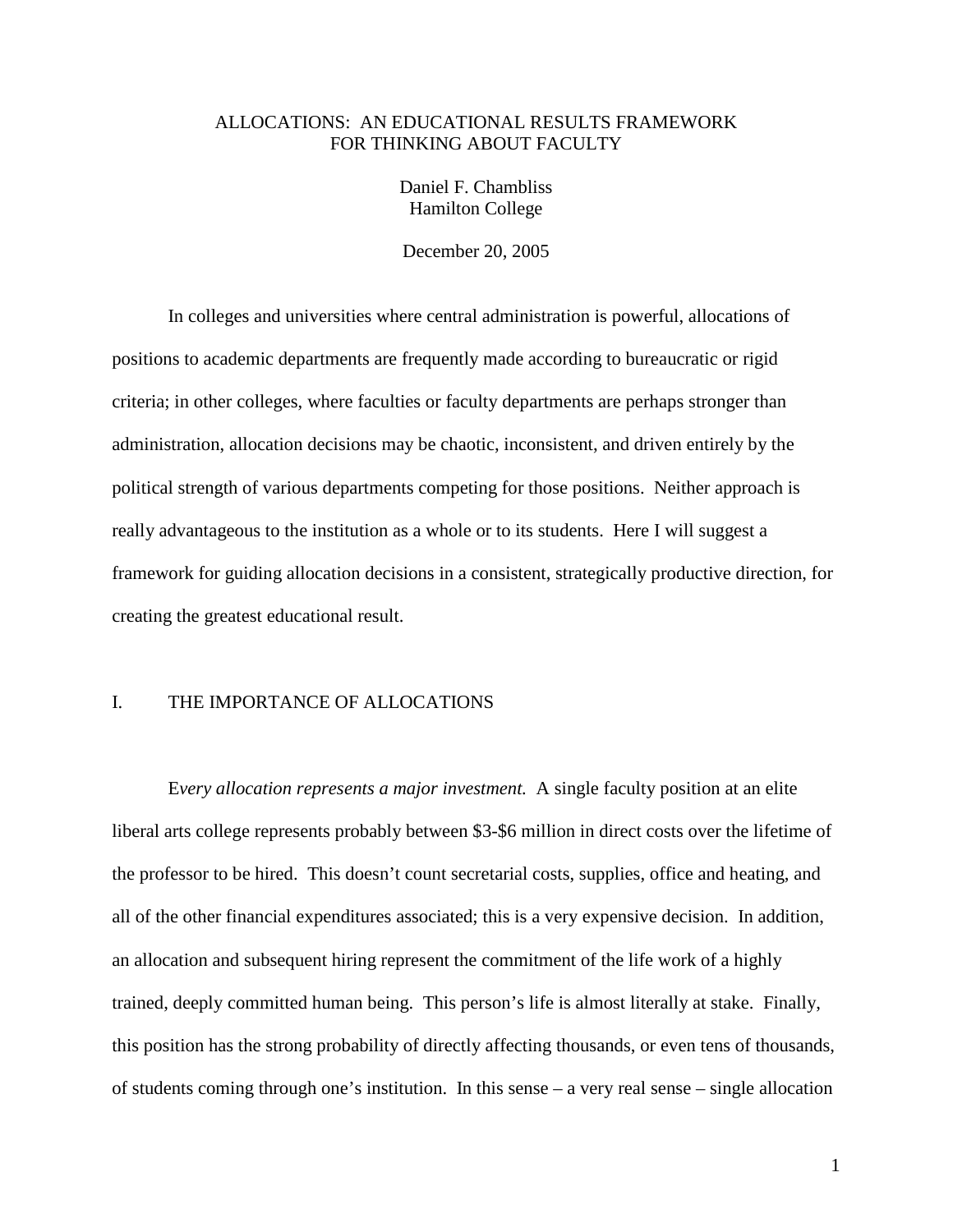# ALLOCATIONS: AN EDUCATIONAL RESULTS FRAMEWORK FOR THINKING ABOUT FACULTY

Daniel F. Chambliss Hamilton College

December 20, 2005

 In colleges and universities where central administration is powerful, allocations of positions to academic departments are frequently made according to bureaucratic or rigid criteria; in other colleges, where faculties or faculty departments are perhaps stronger than administration, allocation decisions may be chaotic, inconsistent, and driven entirely by the political strength of various departments competing for those positions. Neither approach is really advantageous to the institution as a whole or to its students. Here I will suggest a framework for guiding allocation decisions in a consistent, strategically productive direction, for creating the greatest educational result.

# I. THE IMPORTANCE OF ALLOCATIONS

 E*very allocation represents a major investment.* A single faculty position at an elite liberal arts college represents probably between \$3-\$6 million in direct costs over the lifetime of the professor to be hired. This doesn't count secretarial costs, supplies, office and heating, and all of the other financial expenditures associated; this is a very expensive decision. In addition, an allocation and subsequent hiring represent the commitment of the life work of a highly trained, deeply committed human being. This person's life is almost literally at stake. Finally, this position has the strong probability of directly affecting thousands, or even tens of thousands, of students coming through one's institution. In this sense – a very real sense – single allocation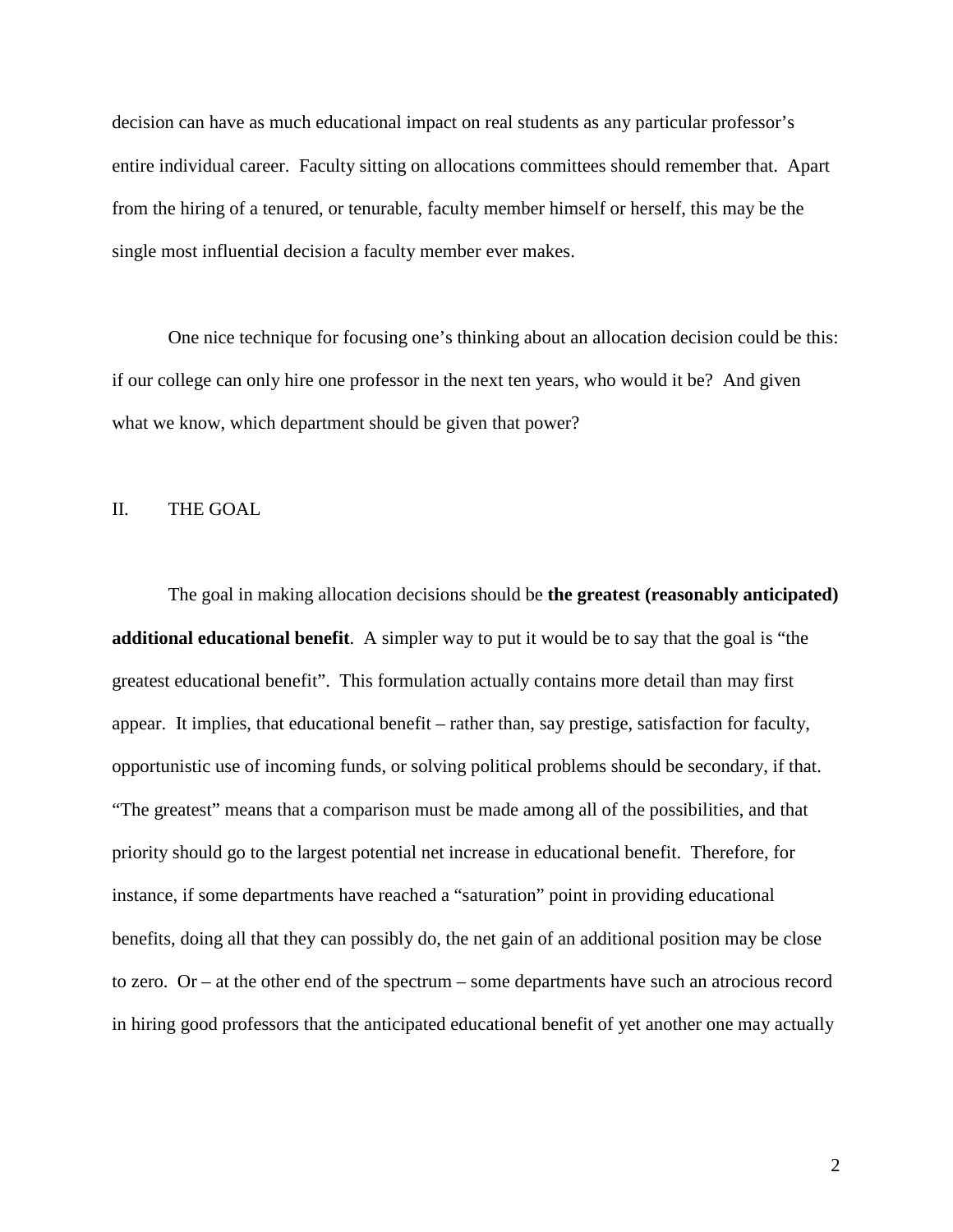decision can have as much educational impact on real students as any particular professor's entire individual career. Faculty sitting on allocations committees should remember that. Apart from the hiring of a tenured, or tenurable, faculty member himself or herself, this may be the single most influential decision a faculty member ever makes.

 One nice technique for focusing one's thinking about an allocation decision could be this: if our college can only hire one professor in the next ten years, who would it be? And given what we know, which department should be given that power?

### II. THE GOAL

 The goal in making allocation decisions should be **the greatest (reasonably anticipated) additional educational benefit**. A simpler way to put it would be to say that the goal is "the greatest educational benefit". This formulation actually contains more detail than may first appear. It implies, that educational benefit – rather than, say prestige, satisfaction for faculty, opportunistic use of incoming funds, or solving political problems should be secondary, if that. "The greatest" means that a comparison must be made among all of the possibilities, and that priority should go to the largest potential net increase in educational benefit. Therefore, for instance, if some departments have reached a "saturation" point in providing educational benefits, doing all that they can possibly do, the net gain of an additional position may be close to zero. Or – at the other end of the spectrum – some departments have such an atrocious record in hiring good professors that the anticipated educational benefit of yet another one may actually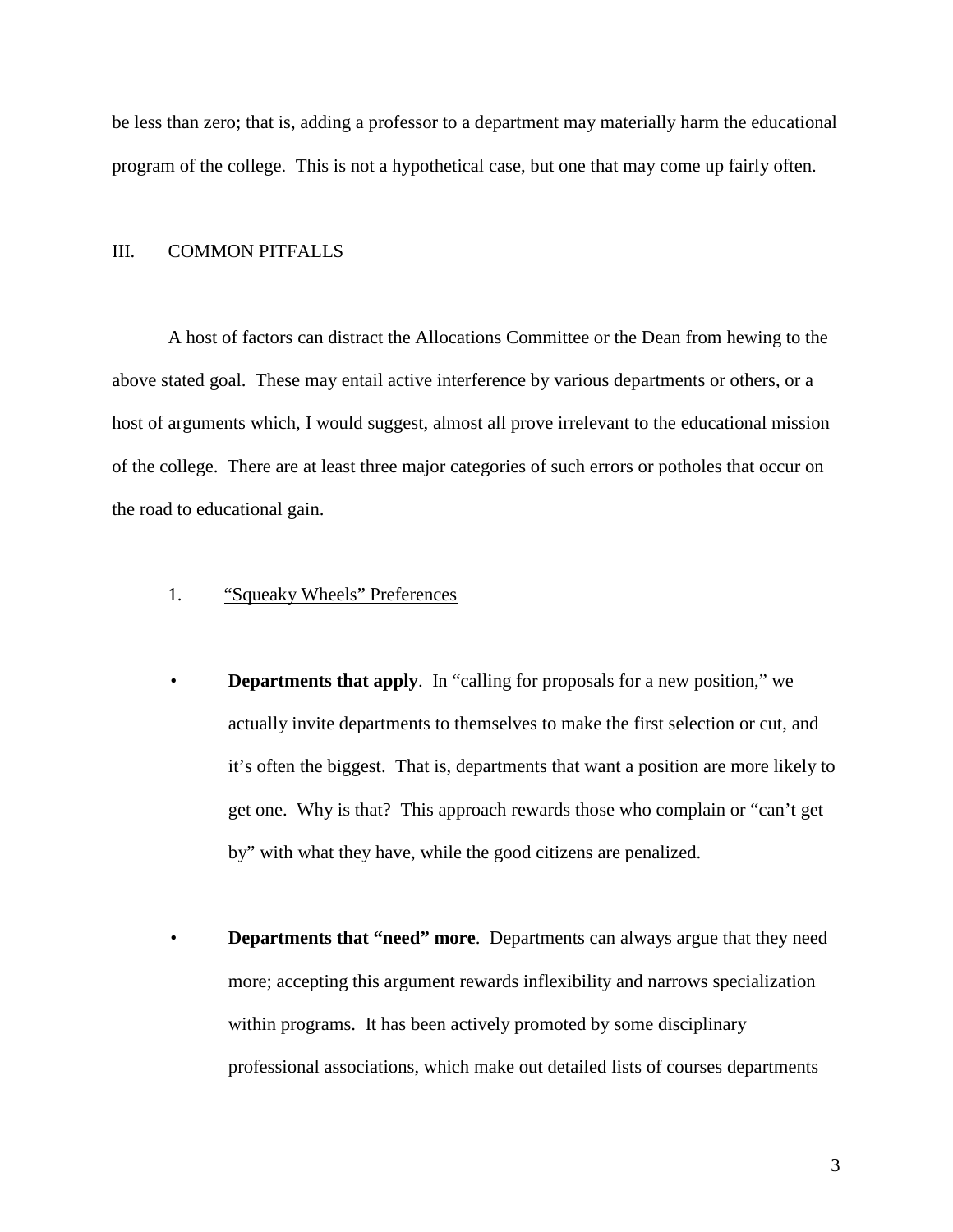be less than zero; that is, adding a professor to a department may materially harm the educational program of the college. This is not a hypothetical case, but one that may come up fairly often.

### III. COMMON PITFALLS

 A host of factors can distract the Allocations Committee or the Dean from hewing to the above stated goal. These may entail active interference by various departments or others, or a host of arguments which, I would suggest, almost all prove irrelevant to the educational mission of the college. There are at least three major categories of such errors or potholes that occur on the road to educational gain.

- 1. "Squeaky Wheels" Preferences
- **Departments that apply**. In "calling for proposals for a new position," we actually invite departments to themselves to make the first selection or cut, and it's often the biggest. That is, departments that want a position are more likely to get one. Why is that? This approach rewards those who complain or "can't get by" with what they have, while the good citizens are penalized.
- **Departments that "need" more**. Departments can always argue that they need more; accepting this argument rewards inflexibility and narrows specialization within programs. It has been actively promoted by some disciplinary professional associations, which make out detailed lists of courses departments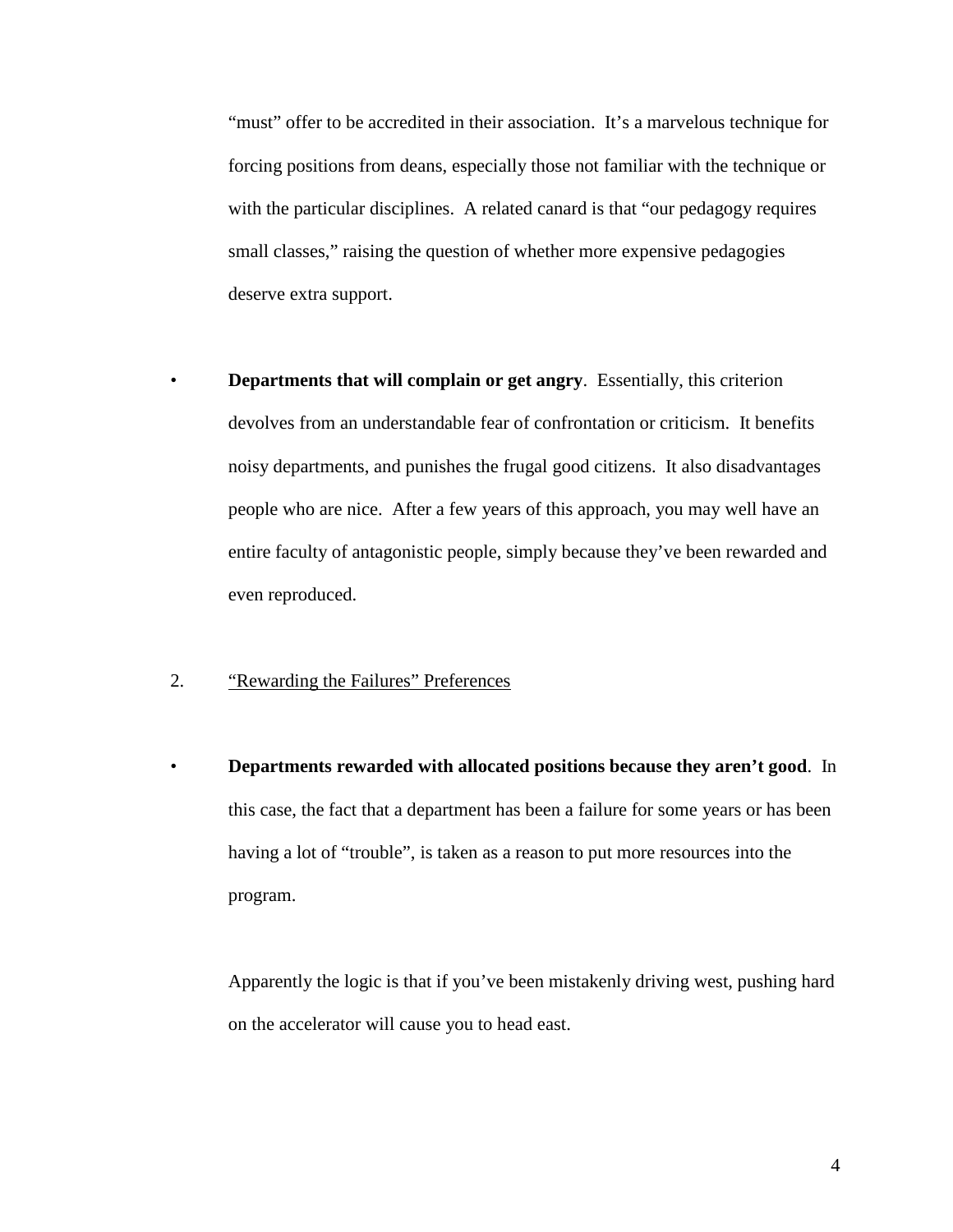"must" offer to be accredited in their association. It's a marvelous technique for forcing positions from deans, especially those not familiar with the technique or with the particular disciplines. A related canard is that "our pedagogy requires small classes," raising the question of whether more expensive pedagogies deserve extra support.

 • **Departments that will complain or get angry**. Essentially, this criterion devolves from an understandable fear of confrontation or criticism. It benefits noisy departments, and punishes the frugal good citizens. It also disadvantages people who are nice. After a few years of this approach, you may well have an entire faculty of antagonistic people, simply because they've been rewarded and even reproduced.

### 2. "Rewarding the Failures" Preferences

 • **Departments rewarded with allocated positions because they aren't good**. In this case, the fact that a department has been a failure for some years or has been having a lot of "trouble", is taken as a reason to put more resources into the program.

 Apparently the logic is that if you've been mistakenly driving west, pushing hard on the accelerator will cause you to head east.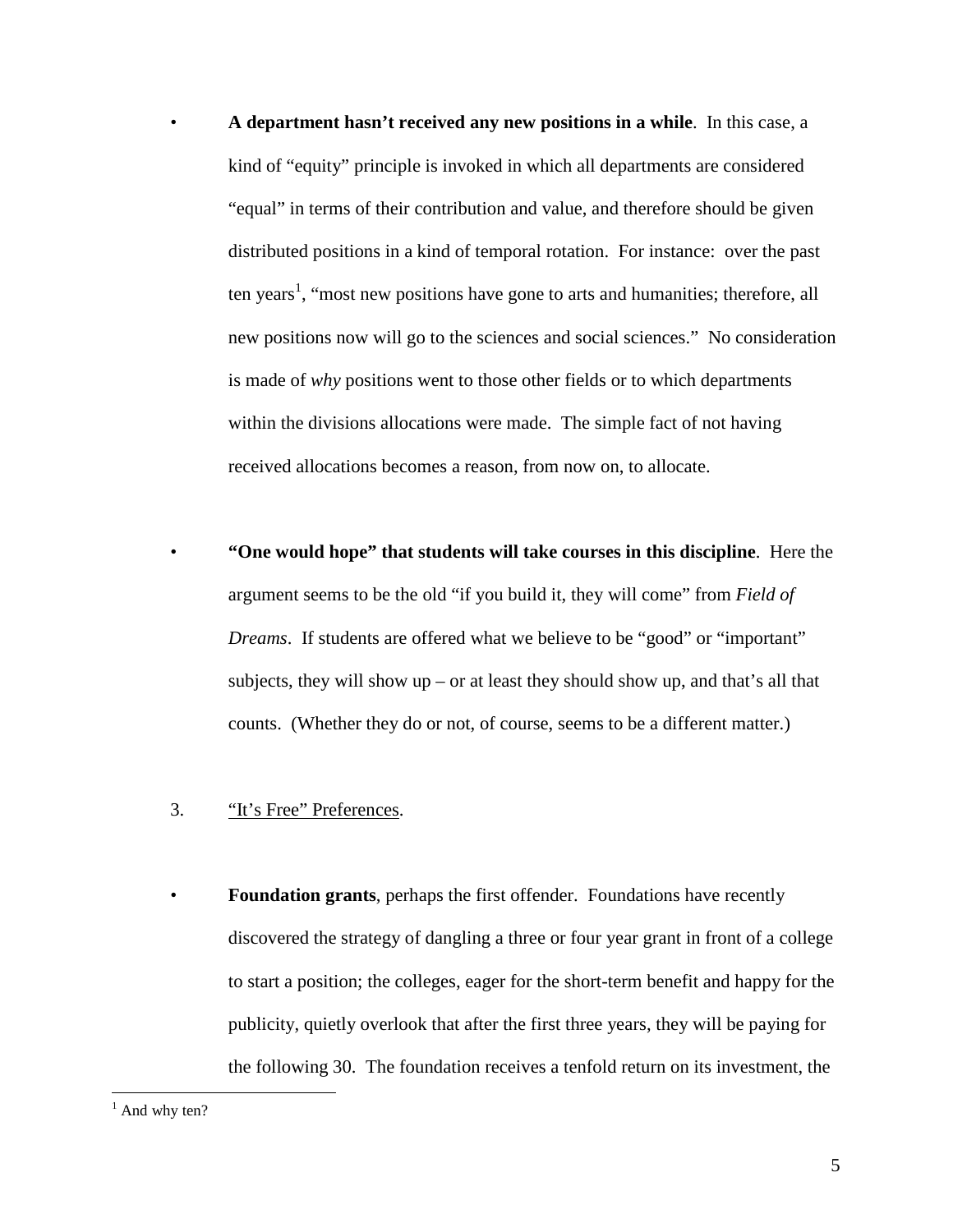- **A department hasn't received any new positions in a while**. In this case, a kind of "equity" principle is invoked in which all departments are considered "equal" in terms of their contribution and value, and therefore should be given distributed positions in a kind of temporal rotation. For instance: over the past ten years<sup>1</sup>, "most new positions have gone to arts and humanities; therefore, all new positions now will go to the sciences and social sciences." No consideration is made of *why* positions went to those other fields or to which departments within the divisions allocations were made. The simple fact of not having received allocations becomes a reason, from now on, to allocate.
- **"One would hope" that students will take courses in this discipline**. Here the argument seems to be the old "if you build it, they will come" from *Field of Dreams*. If students are offered what we believe to be "good" or "important" subjects, they will show up – or at least they should show up, and that's all that counts. (Whether they do or not, of course, seems to be a different matter.)
- 3. "It's Free" Preferences.
- **Foundation grants**, perhaps the first offender. Foundations have recently discovered the strategy of dangling a three or four year grant in front of a college to start a position; the colleges, eager for the short-term benefit and happy for the publicity, quietly overlook that after the first three years, they will be paying for the following 30. The foundation receives a tenfold return on its investment, the

<u>.</u>

<sup>&</sup>lt;sup>1</sup> And why ten?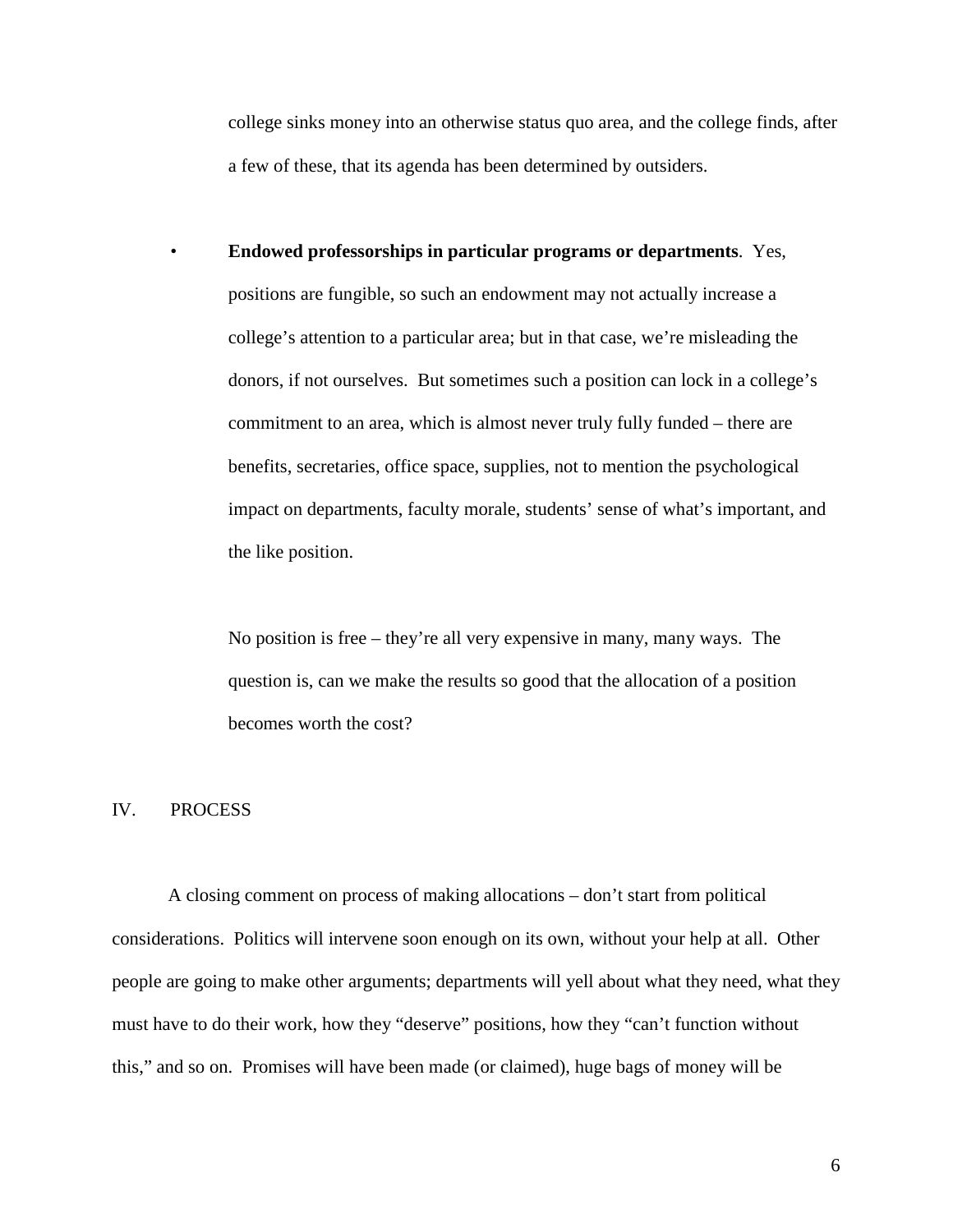college sinks money into an otherwise status quo area, and the college finds, after a few of these, that its agenda has been determined by outsiders.

 • **Endowed professorships in particular programs or departments**. Yes, positions are fungible, so such an endowment may not actually increase a college's attention to a particular area; but in that case, we're misleading the donors, if not ourselves. But sometimes such a position can lock in a college's commitment to an area, which is almost never truly fully funded – there are benefits, secretaries, office space, supplies, not to mention the psychological impact on departments, faculty morale, students' sense of what's important, and the like position.

 No position is free – they're all very expensive in many, many ways. The question is, can we make the results so good that the allocation of a position becomes worth the cost?

#### IV. PROCESS

 A closing comment on process of making allocations – don't start from political considerations. Politics will intervene soon enough on its own, without your help at all. Other people are going to make other arguments; departments will yell about what they need, what they must have to do their work, how they "deserve" positions, how they "can't function without this," and so on. Promises will have been made (or claimed), huge bags of money will be